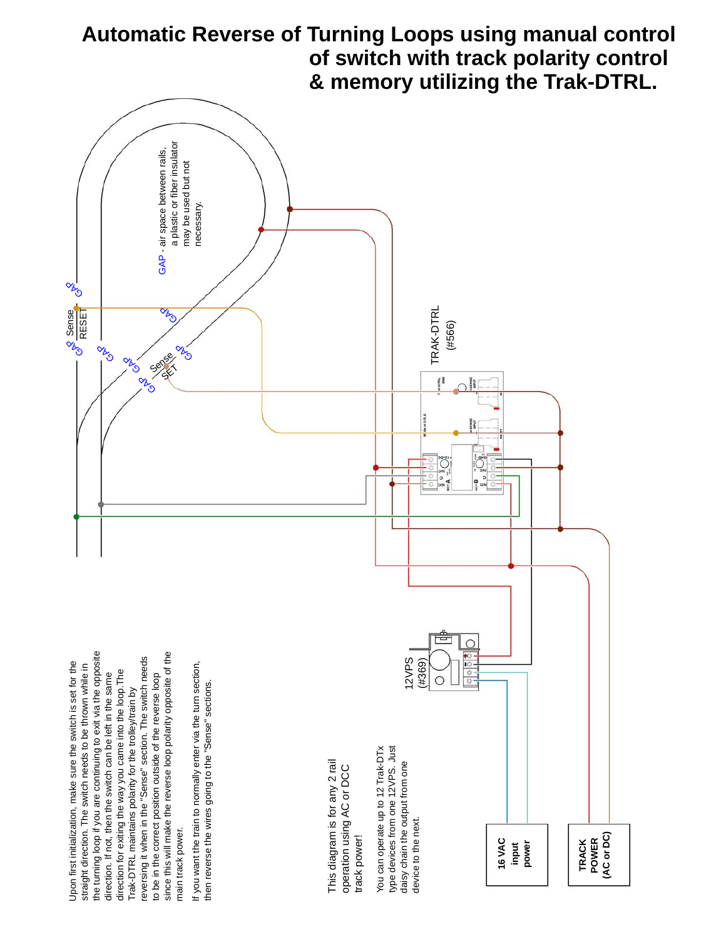

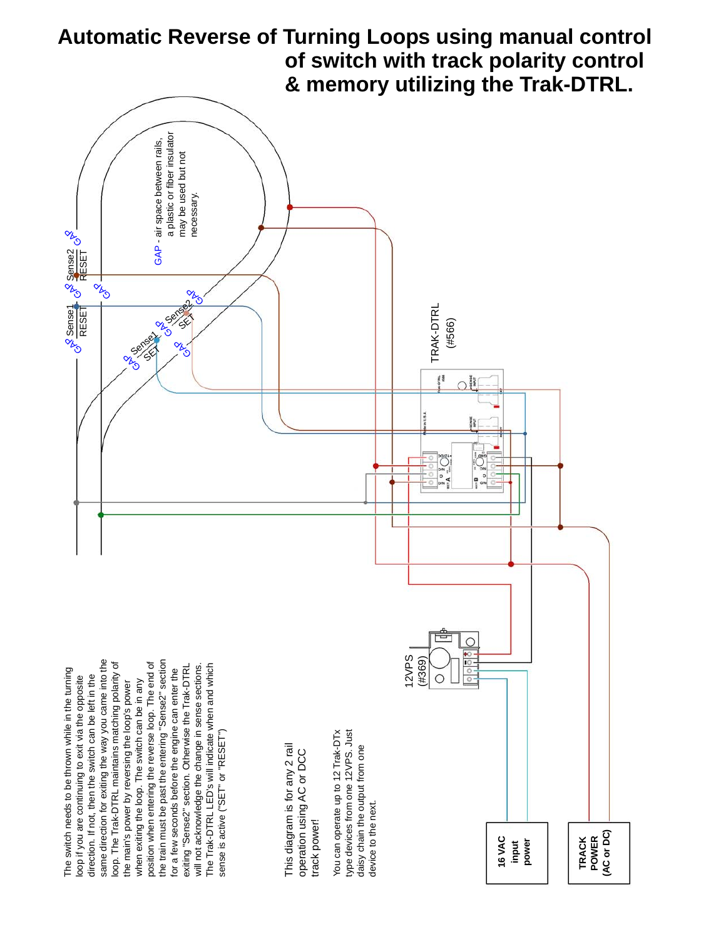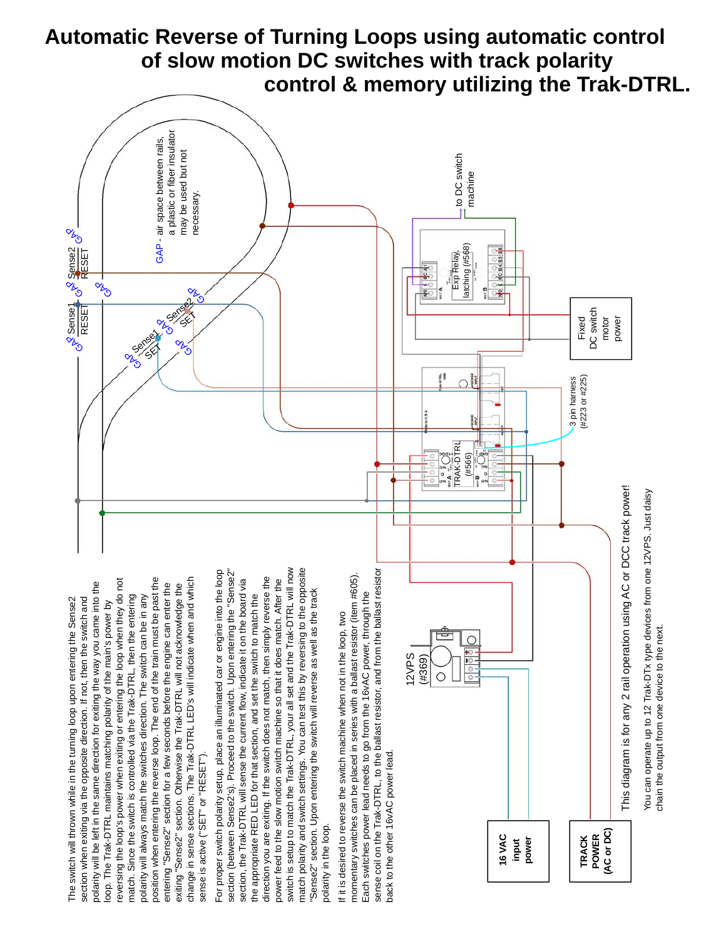